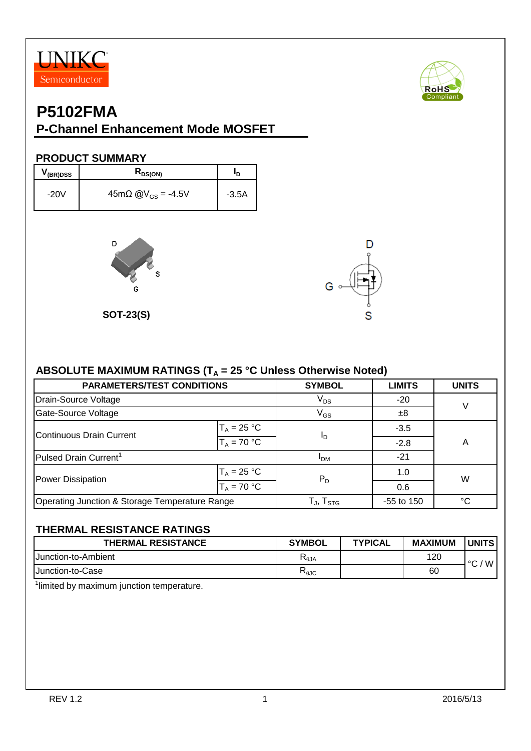



#### **P-Channel Enhancement Mode MOSFET**

#### **PRODUCT SUMMARY**

| V <sub>(BR)DSS</sub> | $R_{DS(ON)}$                         | םי      |
|----------------------|--------------------------------------|---------|
| $-20V$               | $45m\Omega$ @V <sub>GS</sub> = -4.5V | $-3.5A$ |



**SOT-23(S)**



#### ABSOLUTE MAXIMUM RATINGS (T<sub>A</sub> = 25 °C Unless Otherwise Noted)

| <b>PARAMETERS/TEST CONDITIONS</b>              |               | <b>SYMBOL</b>                 | <b>LIMITS</b> | <b>UNITS</b> |  |
|------------------------------------------------|---------------|-------------------------------|---------------|--------------|--|
| Drain-Source Voltage                           | $V_{DS}$      | $-20$                         | $\vee$        |              |  |
| Gate-Source Voltage                            | $V_{GS}$      | ±8                            |               |              |  |
| Continuous Drain Current                       | $T_A = 25 °C$ |                               | $-3.5$        |              |  |
|                                                | $T_A = 70 °C$ | I <sub>D</sub>                | $-2.8$        | Α            |  |
| Pulsed Drain Current <sup>1</sup>              | <b>IDM</b>    | $-21$                         |               |              |  |
| Power Dissipation                              | $T_A = 25 °C$ | $P_D$                         | 1.0           | W            |  |
|                                                | $T_A = 70 °C$ |                               | 0.6           |              |  |
| Operating Junction & Storage Temperature Range |               | T $_{\sf J}$ , T $_{\sf STG}$ | $-55$ to 150  | °C           |  |

#### **THERMAL RESISTANCE RATINGS**

| <b>THERMAL RESISTANCE</b>   | <b>SYMBOL</b>  | <b>TYPICAL</b> | <b>MAXIMUM</b> | <b>UNITS</b> |
|-----------------------------|----------------|----------------|----------------|--------------|
| <b>IJunction-to-Ambient</b> | $R_{\theta$ JA |                | 120            | W<br>$\sim$  |
| <b>IJunction-to-Case</b>    | ⊾მე            |                | 60             |              |

<sup>1</sup>limited by maximum junction temperature.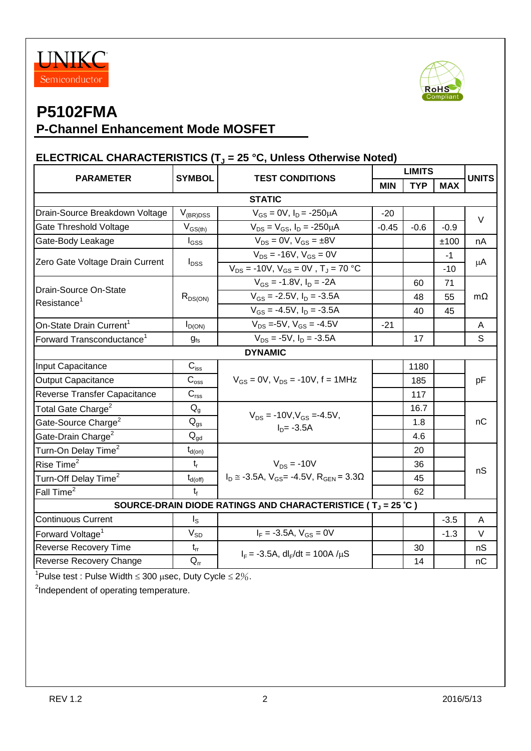



## **P-Channel Enhancement Mode MOSFET**

#### **ELECTRICAL CHARACTERISTICS (T<sup>J</sup> = 25 °C, Unless Otherwise Noted)**

| <b>PARAMETER</b>                                 | <b>SYMBOL</b><br><b>TEST CONDITIONS</b> |                                                                  | <b>LIMITS</b> |            |            | <b>UNITS</b> |
|--------------------------------------------------|-----------------------------------------|------------------------------------------------------------------|---------------|------------|------------|--------------|
|                                                  |                                         |                                                                  | <b>MIN</b>    | <b>TYP</b> | <b>MAX</b> |              |
| <b>STATIC</b>                                    |                                         |                                                                  |               |            |            |              |
| Drain-Source Breakdown Voltage                   | $V_{(BR)DSS}$                           | $V_{GS} = 0V$ , $I_D = -250 \mu A$                               | $-20$         |            |            | $\vee$       |
| Gate Threshold Voltage                           | $V_{GS(th)}$                            | $V_{DS} = V_{GS}$ , $I_D = -250 \mu A$                           | $-0.45$       | $-0.6$     | $-0.9$     |              |
| Gate-Body Leakage                                | $I_{GSS}$                               | $V_{DS} = 0V$ , $V_{GS} = \pm 8V$                                |               |            | ±100       | nA           |
|                                                  |                                         | $V_{DS}$ = -16V, $V_{GS}$ = 0V                                   |               |            | $-1$       | μA           |
| Zero Gate Voltage Drain Current                  | $I_{DSS}$                               | $V_{DS} = -10V$ , $V_{GS} = 0V$ , $T_J = 70 °C$                  |               |            | $-10$      |              |
| Drain-Source On-State<br>Resistance <sup>1</sup> |                                         | $V_{GS} = -1.8V$ , $I_D = -2A$                                   |               | 60         | 71         |              |
|                                                  | $R_{DS(ON)}$                            | $V_{GS}$ = -2.5V, $I_D$ = -3.5A                                  |               | 48         | 55         | $m\Omega$    |
|                                                  |                                         | $V_{GS}$ = -4.5V, $I_D$ = -3.5A                                  |               | 40         | 45         |              |
| On-State Drain Current <sup>1</sup>              | $I_{D(ON)}$                             | $V_{DS}$ =-5V, $V_{GS}$ = -4.5V                                  | $-21$         |            |            | A            |
| Forward Transconductance <sup>1</sup>            | $g_{fs}$                                | $V_{DS} = -5V$ , $I_D = -3.5A$                                   |               | 17         |            | S            |
|                                                  |                                         | <b>DYNAMIC</b>                                                   |               |            |            |              |
| Input Capacitance                                | $C_{\text{iss}}$                        |                                                                  |               | 1180       |            | pF           |
| <b>Output Capacitance</b>                        | $C_{\rm oss}$                           | $V_{GS} = 0V$ , $V_{DS} = -10V$ , f = 1MHz                       |               | 185        |            |              |
| Reverse Transfer Capacitance                     | $\mathbf{C}_{\text{rss}}$               |                                                                  |               | 117        |            |              |
| Total Gate Charge <sup>2</sup>                   | $Q_g$                                   |                                                                  |               | 16.7       |            | nC           |
| Gate-Source Charge <sup>2</sup>                  | $\mathsf{Q}_{\mathsf{gs}}$              | $V_{DS}$ = -10V, $V_{GS}$ =-4.5V,<br>$I_{D} = -3.5A$             |               | 1.8        |            |              |
| Gate-Drain Charge <sup>2</sup>                   | $Q_{\text{gd}}$                         |                                                                  |               | 4.6        |            |              |
| Turn-On Delay Time <sup>2</sup>                  | $t_{d(on)}$                             |                                                                  |               | 20         |            |              |
| Rise Time <sup>2</sup>                           | $t_{r}$                                 | $V_{DS}$ = -10V                                                  |               | 36         |            | nS           |
| Turn-Off Delay Time <sup>2</sup>                 | $t_{d(\text{off})}$                     | $I_D \approx -3.5A$ , $V_{GS} = -4.5V$ , $R_{GEN} = 3.3\Omega$   |               | 45         |            |              |
| Fall Time <sup>2</sup>                           | $t_{f}$                                 |                                                                  |               | 62         |            |              |
|                                                  |                                         | SOURCE-DRAIN DIODE RATINGS AND CHARACTERISTICE ( $T_J = 25 °C$ ) |               |            |            |              |
| <b>Continuous Current</b>                        | $I_{\rm S}$                             |                                                                  |               |            | $-3.5$     | A            |
| Forward Voltage <sup>1</sup>                     | $V_{SD}$                                | $I_F = -3.5A$ , $V_{GS} = 0V$                                    |               |            | $-1.3$     | $\vee$       |
| <b>Reverse Recovery Time</b>                     | $t_{rr}$                                |                                                                  |               | 30         |            | nS           |
| Reverse Recovery Change                          | $Q_{rr}$                                | $I_F = -3.5A$ , dl <sub>F</sub> /dt = 100A / $\mu$ S             |               | 14         |            | nC           |

<sup>1</sup>Pulse test : Pulse Width  $\leq$  300 µsec, Duty Cycle  $\leq$  2%.

<sup>2</sup>Independent of operating temperature.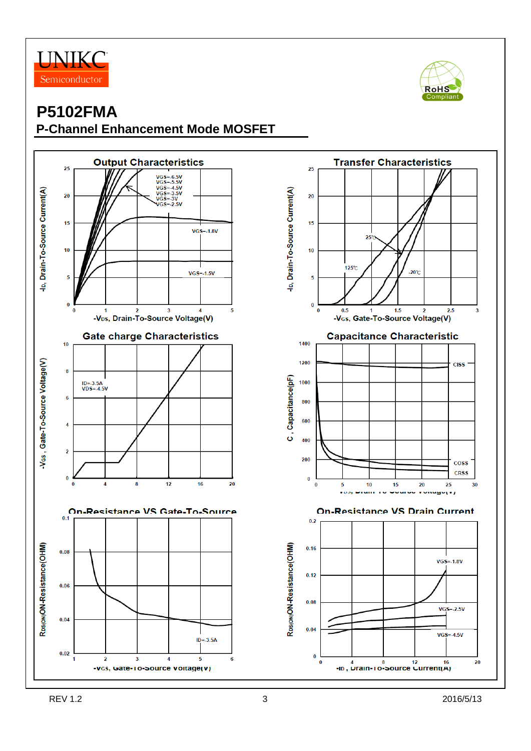



 $\overline{\mathbf{c}}$ 

20

 $2.5$ 

**CISS** 

coss **CRSS** 

30

25

 $VGS = -1.8V$ 

 $VGS = -2.5V$ 

 $VGS = 4.5V$ 

**Following** 

## **P5102FMA P-Channel Enhancement Mode MOSFET**



20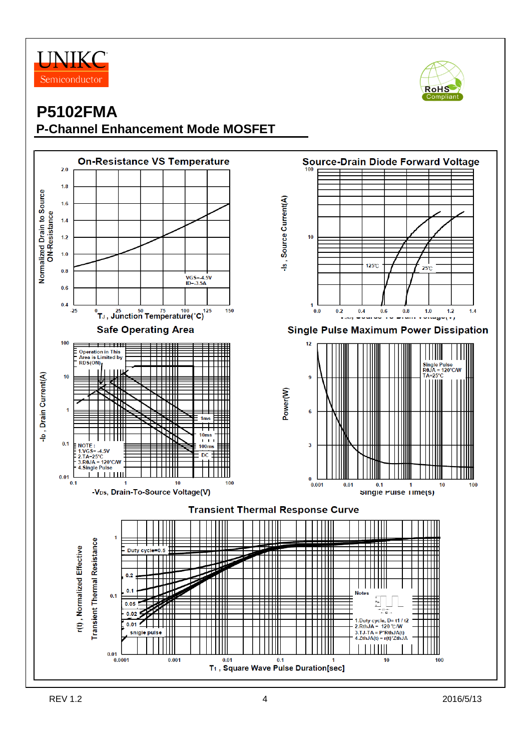



# **P5102FMA P-Channel Enhancement Mode MOSFET**

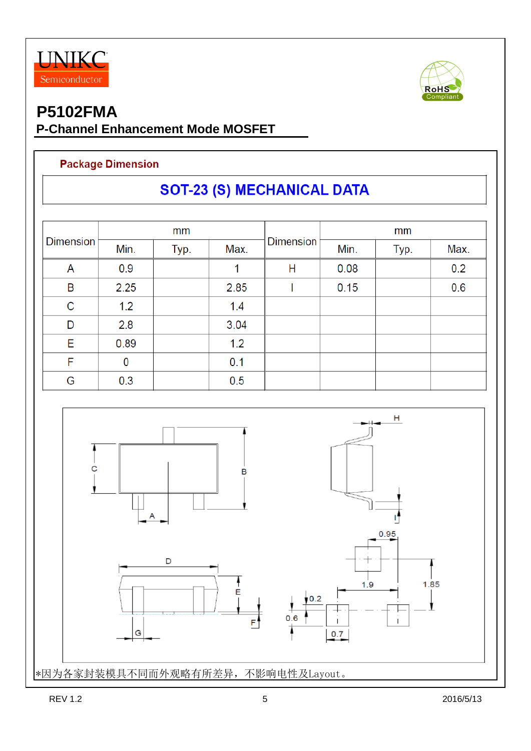



## **P-Channel Enhancement Mode MOSFET**

#### **Package Dimension**

# **SOT-23 (S) MECHANICAL DATA**

| <b>Dimension</b> | mm   |      |      |                  | mm   |      |      |  |
|------------------|------|------|------|------------------|------|------|------|--|
|                  | Min. | Typ. | Max. | <b>Dimension</b> | Min. | Typ. | Max. |  |
| A                | 0.9  |      |      | Н                | 0.08 |      | 0.2  |  |
| B                | 2.25 |      | 2.85 |                  | 0.15 |      | 0.6  |  |
| $\mathsf C$      | 1.2  |      | 1.4  |                  |      |      |      |  |
| D                | 2.8  |      | 3.04 |                  |      |      |      |  |
| E                | 0.89 |      | 1.2  |                  |      |      |      |  |
| F                | 0    |      | 0.1  |                  |      |      |      |  |
| G                | 0.3  |      | 0.5  |                  |      |      |      |  |

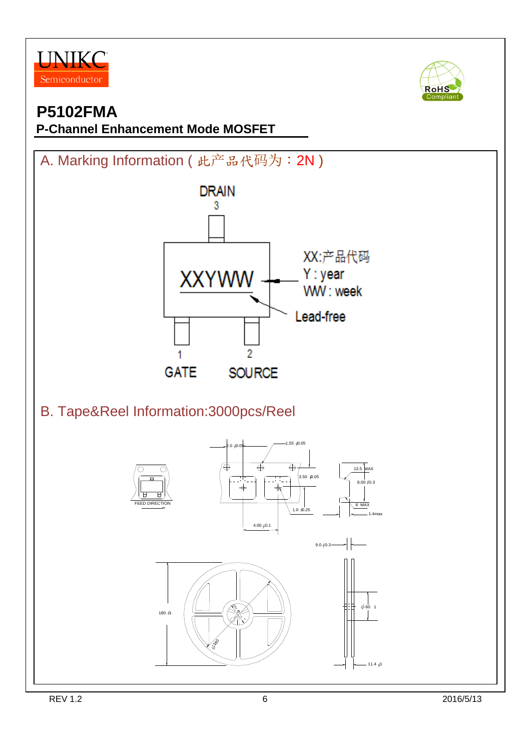



# **P-Channel Enhancement Mode MOSFET**

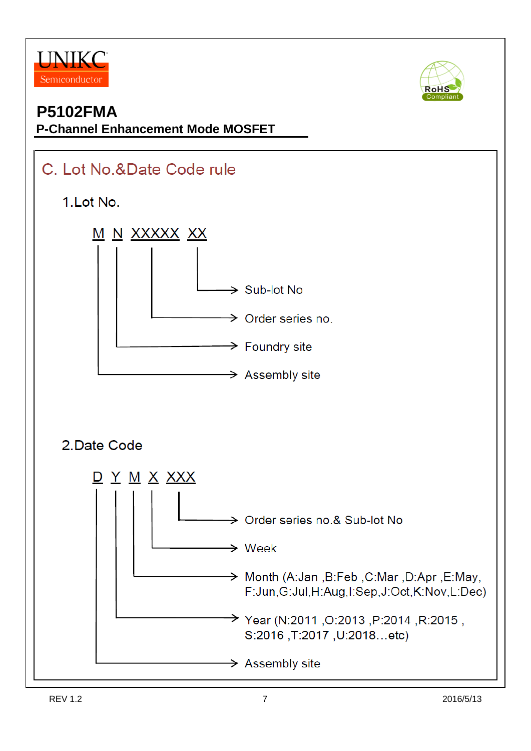



### **P-Channel Enhancement Mode MOSFET**